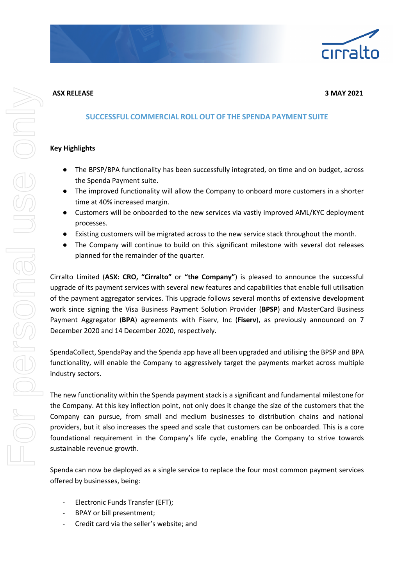

# **SUCCESSFUL COMMERCIAL ROLL OUT OF THE SPENDA PAYMENT SUITE**

# **Key Highlights**

- The BPSP/BPA functionality has been successfully integrated, on time and on budget, across the Spenda Payment suite.
- The improved functionality will allow the Company to onboard more customers in a shorter time at 40% increased margin.
- Customers will be onboarded to the new services via vastly improved AML/KYC deployment processes.
- Existing customers will be migrated across to the new service stack throughout the month.
- The Company will continue to build on this significant milestone with several dot releases planned for the remainder of the quarter.

Cirralto Limited (**ASX: CRO, "Cirralto"** or **"the Company"**) is pleased to announce the successful upgrade of its payment services with several new features and capabilities that enable full utilisation of the payment aggregator services. This upgrade follows several months of extensive development work since signing the Visa Business Payment Solution Provider (**BPSP**) and MasterCard Business Payment Aggregator (**BPA**) agreements with Fiserv, Inc (**Fiserv**), as previously announced on 7 December 2020 and 14 December 2020, respectively.

SpendaCollect, SpendaPay and the Spenda app have all been upgraded and utilising the BPSP and BPA functionality, will enable the Company to aggressively target the payments market across multiple industry sectors.

The new functionality within the Spenda payment stack is a significant and fundamental milestone for the Company. At this key inflection point, not only does it change the size of the customers that the Company can pursue, from small and medium businesses to distribution chains and national providers, but it also increases the speed and scale that customers can be onboarded. This is a core foundational requirement in the Company's life cycle, enabling the Company to strive towards sustainable revenue growth.

Spenda can now be deployed as a single service to replace the four most common payment services offered by businesses, being:

- Electronic Funds Transfer (EFT);
- BPAY or bill presentment;
- Credit card via the seller's website; and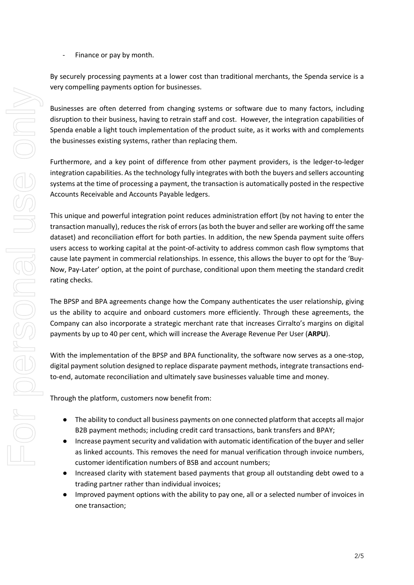- Finance or pay by month.

By securely processing payments at a lower cost than traditional merchants, the Spenda service is a very compelling payments option for businesses.

Businesses are often deterred from changing systems or software due to many factors, including disruption to their business, having to retrain staff and cost. However, the integration capabilities of Spenda enable a light touch implementation of the product suite, as it works with and complements the businesses existing systems, rather than replacing them.

Furthermore, and a key point of difference from other payment providers, is the ledger-to-ledger integration capabilities. As the technology fully integrates with both the buyers and sellers accounting systems at the time of processing a payment, the transaction is automatically posted in the respective Accounts Receivable and Accounts Payable ledgers.

This unique and powerful integration point reduces administration effort (by not having to enter the transaction manually), reduces the risk of errors (as both the buyer and seller are working off the same dataset) and reconciliation effort for both parties. In addition, the new Spenda payment suite offers users access to working capital at the point-of-activity to address common cash flow symptoms that cause late payment in commercial relationships. In essence, this allows the buyer to opt for the 'Buy-Now, Pay-Later' option, at the point of purchase, conditional upon them meeting the standard credit rating checks.

The BPSP and BPA agreements change how the Company authenticates the user relationship, giving us the ability to acquire and onboard customers more efficiently. Through these agreements, the Company can also incorporate a strategic merchant rate that increases Cirralto's margins on digital payments by up to 40 per cent, which will increase the Average Revenue Per User (**ARPU**).

With the implementation of the BPSP and BPA functionality, the software now serves as a one-stop, digital payment solution designed to replace disparate payment methods, integrate transactions endto-end, automate reconciliation and ultimately save businesses valuable time and money.

Through the platform, customers now benefit from:

- The ability to conduct all business payments on one connected platform that accepts all major B2B payment methods; including credit card transactions, bank transfers and BPAY;
- Increase payment security and validation with automatic identification of the buyer and seller as linked accounts. This removes the need for manual verification through invoice numbers, customer identification numbers of BSB and account numbers;
- Increased clarity with statement based payments that group all outstanding debt owed to a trading partner rather than individual invoices;
- Improved payment options with the ability to pay one, all or a selected number of invoices in one transaction;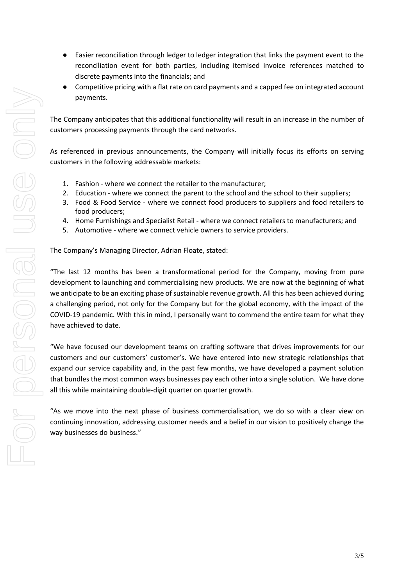- Easier reconciliation through ledger to ledger integration that links the payment event to the reconciliation event for both parties, including itemised invoice references matched to discrete payments into the financials; and
- Competitive pricing with a flat rate on card payments and a capped fee on integrated account payments.

The Company anticipates that this additional functionality will result in an increase in the number of customers processing payments through the card networks.

As referenced in previous announcements, the Company will initially focus its efforts on serving customers in the following addressable markets:

- 1. Fashion where we connect the retailer to the manufacturer;
- 2. Education where we connect the parent to the school and the school to their suppliers;
- 3. Food & Food Service where we connect food producers to suppliers and food retailers to food producers;
- 4. Home Furnishings and Specialist Retail where we connect retailers to manufacturers; and
- 5. Automotive where we connect vehicle owners to service providers.

The Company's Managing Director, Adrian Floate, stated:

"The last 12 months has been a transformational period for the Company, moving from pure development to launching and commercialising new products. We are now at the beginning of what we anticipate to be an exciting phase of sustainable revenue growth. All this has been achieved during a challenging period, not only for the Company but for the global economy, with the impact of the COVID-19 pandemic. With this in mind, I personally want to commend the entire team for what they have achieved to date.

"We have focused our development teams on crafting software that drives improvements for our customers and our customers' customer's. We have entered into new strategic relationships that expand our service capability and, in the past few months, we have developed a payment solution that bundles the most common ways businesses pay each other into a single solution. We have done all this while maintaining double-digit quarter on quarter growth.

"As we move into the next phase of business commercialisation, we do so with a clear view on continuing innovation, addressing customer needs and a belief in our vision to positively change the way businesses do business."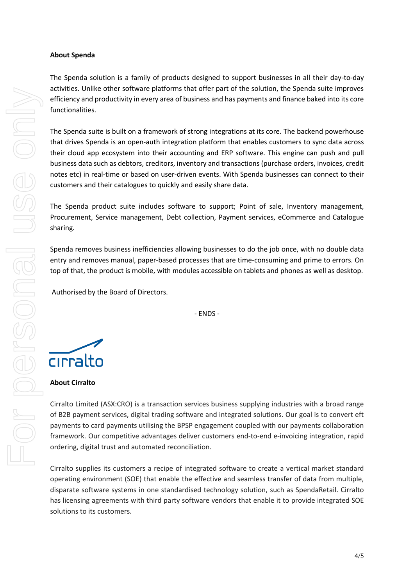## **About Spenda**

The Spenda solution is a family of products designed to support businesses in all their day-to-day activities. Unlike other software platforms that offer part of the solution, the Spenda suite improves efficiency and productivity in every area of business and has payments and finance baked into its core functionalities.

The Spenda suite is built on a framework of strong integrations at its core. The backend powerhouse that drives Spenda is an open-auth integration platform that enables customers to sync data across their cloud app ecosystem into their accounting and ERP software. This engine can push and pull business data such as debtors, creditors, inventory and transactions (purchase orders, invoices, credit notes etc) in real-time or based on user-driven events. With Spenda businesses can connect to their customers and their catalogues to quickly and easily share data.

The Spenda product suite includes software to support; Point of sale, Inventory management, Procurement, Service management, Debt collection, Payment services, eCommerce and Catalogue sharing.

Spenda removes business inefficiencies allowing businesses to do the job once, with no double data entry and removes manual, paper-based processes that are time-consuming and prime to errors. On top of that, the product is mobile, with modules accessible on tablets and phones as well as desktop.

Authorised by the Board of Directors.

- ENDS -

cirralto

#### **About Cirralto**

Cirralto Limited (ASX:CRO) is a transaction services business supplying industries with a broad range of B2B payment services, digital trading software and integrated solutions. Our goal is to convert eft payments to card payments utilising the BPSP engagement coupled with our payments collaboration framework. Our competitive advantages deliver customers end-to-end e-invoicing integration, rapid ordering, digital trust and automated reconciliation.

Cirralto supplies its customers a recipe of integrated software to create a vertical market standard operating environment (SOE) that enable the effective and seamless transfer of data from multiple, disparate software systems in one standardised technology solution, such as SpendaRetail. Cirralto has licensing agreements with third party software vendors that enable it to provide integrated SOE solutions to its customers.